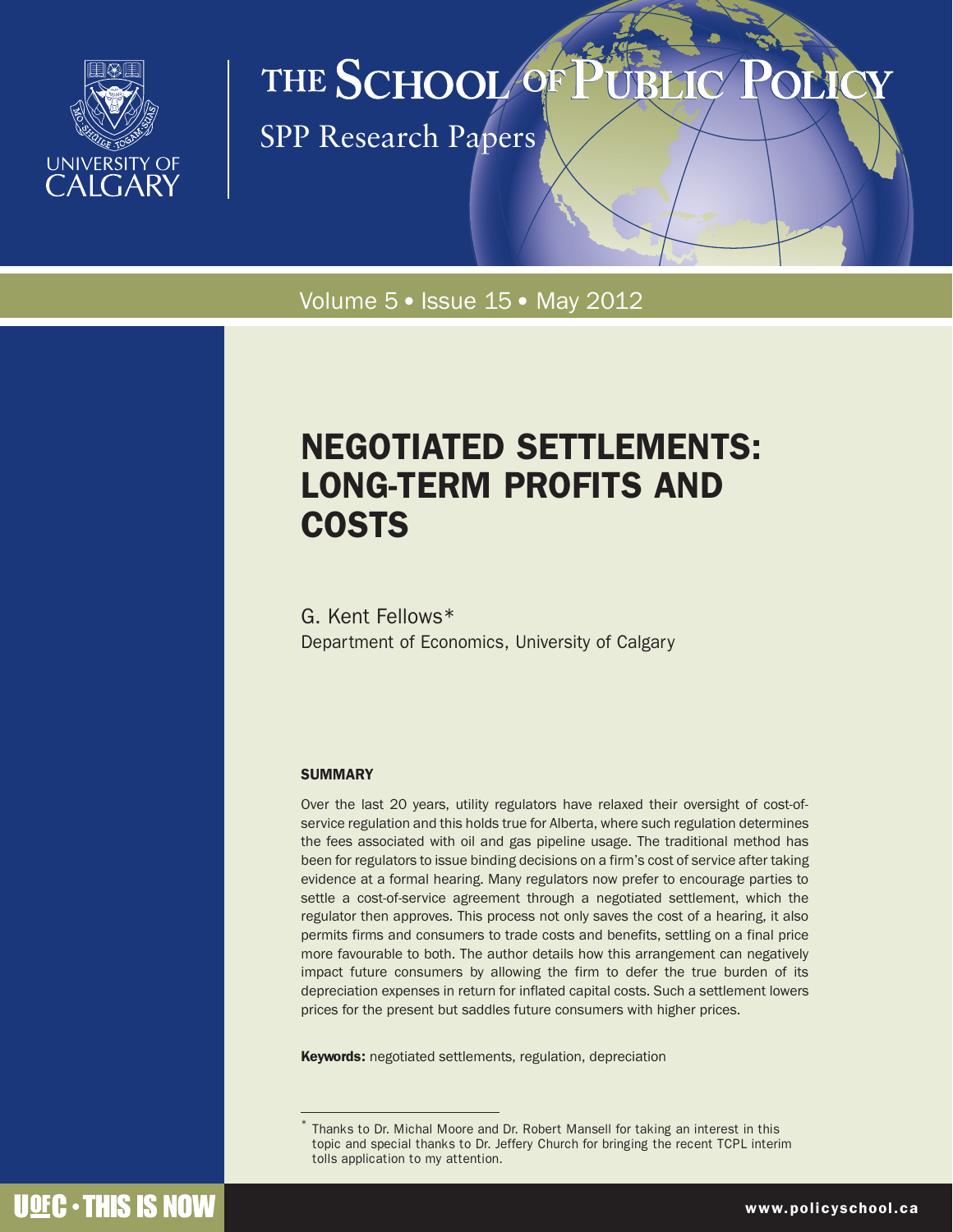

# THE SCHOOL OF

SPP Research Papers

### Volume 5 · Issue 15 · May 2012

## NEGOTIATED SETTLEMENTS: LONG-TERM PROFITS AND COSTS

G. Kent Fellows\* Department of Economics, University of Calgary

#### **SUMMARY**

Over the last 20 years, utility regulators have relaxed their oversight of cost-ofservice regulation and this holds true for Alberta, where such regulation determines the fees associated with oil and gas pipeline usage. The traditional method has been for regulators to issue binding decisions on a firm's cost of service after taking evidence at a formal hearing. Many regulators now prefer to encourage parties to settle a cost-of-service agreement through a negotiated settlement, which the regulator then approves. This process not only saves the cost of a hearing, it also permits firms and consumers to trade costs and benefits, settling on a final price more favourable to both. The author details how this arrangement can negatively impact future consumers by allowing the firm to defer the true burden of its depreciation expenses in return for inflated capital costs. Such a settlement lowers prices for the present but saddles future consumers with higher prices.

Keywords: negotiated settlements, regulation, depreciation

Thanks to Dr. Michal Moore and Dr. Robert Mansell for taking an interest in this topic and special thanks to Dr. Jeffery Church for bringing the recent TCPL interim tolls application to my attention.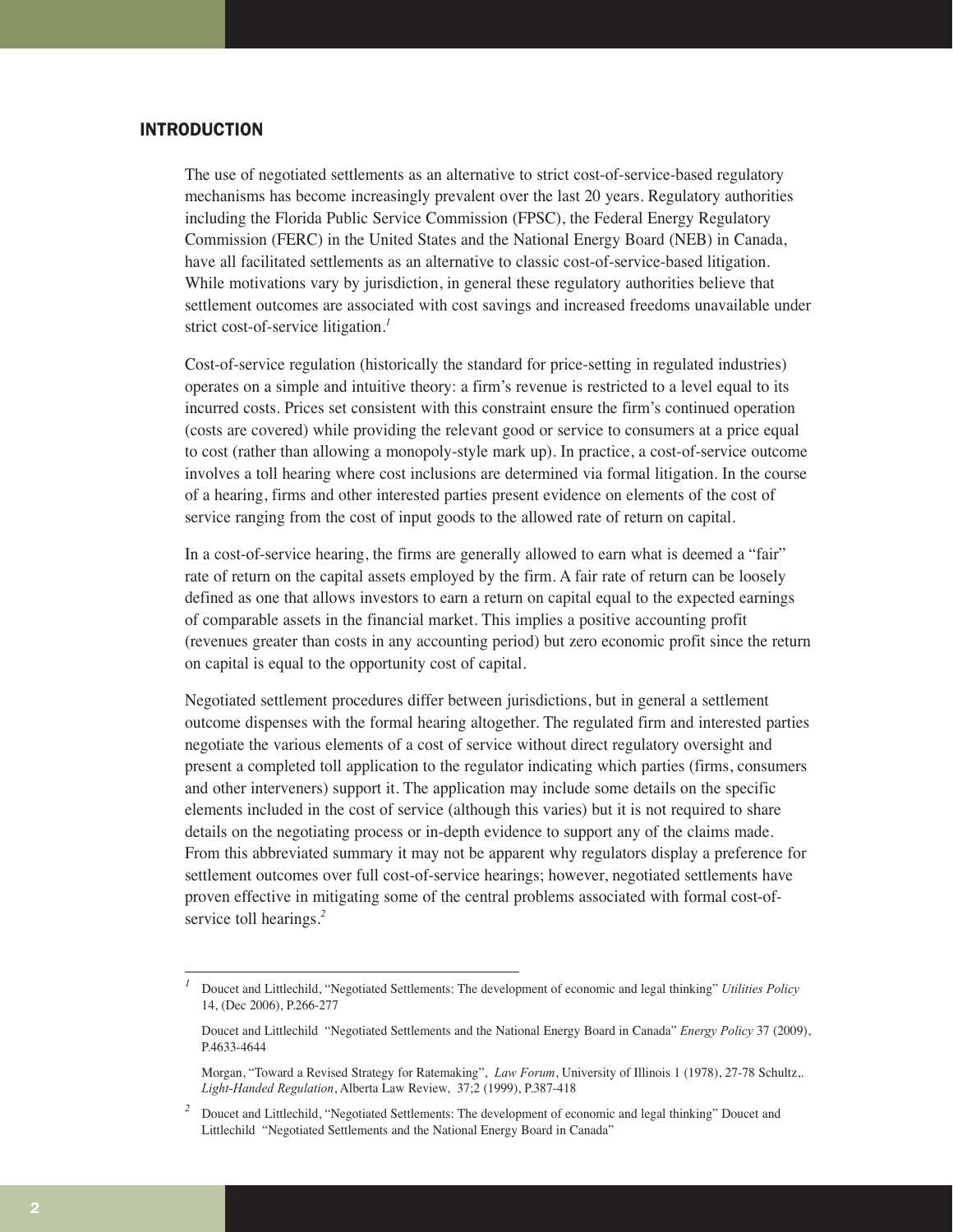#### INTRODUCTION

The use of negotiated settlements as an alternative to strict cost-of-service-based regulatory mechanisms has become increasingly prevalent over the last 20 years. Regulatory authorities including the Florida Public Service Commission (FPSC), the Federal Energy Regulatory Commission (FERC) in the United States and the National Energy Board (NEB) in Canada, have all facilitated settlements as an alternative to classic cost-of-service-based litigation. While motivations vary by jurisdiction, in general these regulatory authorities believe that settlement outcomes are associated with cost savings and increased freedoms unavailable under strict cost-of-service litigation.*<sup>1</sup>*

Cost-of-service regulation (historically the standard for price-setting in regulated industries) operates on a simple and intuitive theory: a firm's revenue is restricted to a level equal to its incurred costs. Prices set consistent with this constraint ensure the firm's continued operation (costs are covered) while providing the relevant good or service to consumers at a price equal to cost (rather than allowing a monopoly-style mark up). In practice, a cost-of-service outcome involves a toll hearing where cost inclusions are determined via formal litigation. In the course of a hearing, firms and other interested parties present evidence on elements of the cost of service ranging from the cost of input goods to the allowed rate of return on capital.

In a cost-of-service hearing, the firms are generally allowed to earn what is deemed a "fair" rate of return on the capital assets employed by the firm. A fair rate of return can be loosely defined as one that allows investors to earn a return on capital equal to the expected earnings of comparable assets in the financial market. This implies a positive accounting profit (revenues greater than costs in any accounting period) but zero economic profit since the return on capital is equal to the opportunity cost of capital.

Negotiated settlement procedures differ between jurisdictions, but in general a settlement outcome dispenses with the formal hearing altogether. The regulated firm and interested parties negotiate the various elements of a cost of service without direct regulatory oversight and present a completed toll application to the regulator indicating which parties (firms, consumers and other interveners) support it. The application may include some details on the specific elements included in the cost of service (although this varies) but it is not required to share details on the negotiating process or in-depth evidence to support any of the claims made. From this abbreviated summary it may not be apparent why regulators display a preference for settlement outcomes over full cost-of-service hearings; however, negotiated settlements have proven effective in mitigating some of the central problems associated with formal cost-ofservice toll hearings.*<sup>2</sup>*

*<sup>1</sup>* Doucet and Littlechild, "Negotiated Settlements: The development of economic and legal thinking" *Utilities Policy* 14, (Dec 2006), P.266-277

Doucet and Littlechild "Negotiated Settlements and the National Energy Board in Canada" *Energy Policy* 37 (2009), P.4633-4644

Morgan, "Toward a Revised Strategy for Ratemaking", *Law Forum*, University of Illinois 1 (1978), 27-78 Schultz,. *Light-Handed Regulation*, Alberta Law Review, 37;2 (1999), P.387-418

<sup>&</sup>lt;sup>2</sup> Doucet and Littlechild, "Negotiated Settlements: The development of economic and legal thinking" Doucet and Littlechild "Negotiated Settlements and the National Energy Board in Canada"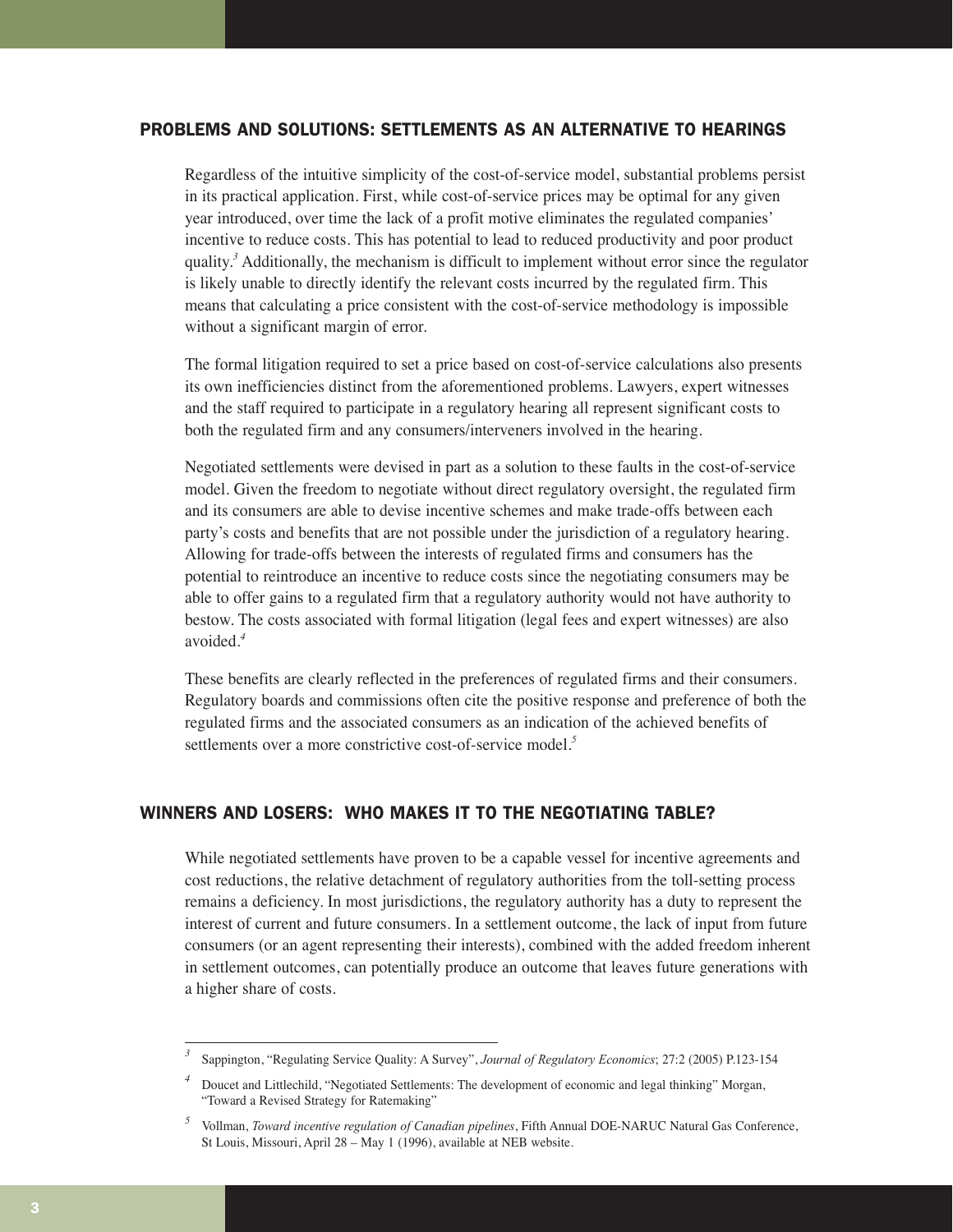#### PROBLEMS AND SOLUTIONS: SETTLEMENTS AS AN ALTERNATIVE TO HEARINGS

Regardless of the intuitive simplicity of the cost-of-service model, substantial problems persist in its practical application. First, while cost-of-service prices may be optimal for any given year introduced, over time the lack of a profit motive eliminates the regulated companies' incentive to reduce costs. This has potential to lead to reduced productivity and poor product quality.*<sup>3</sup>* Additionally, the mechanism is difficult to implement without error since the regulator is likely unable to directly identify the relevant costs incurred by the regulated firm. This means that calculating a price consistent with the cost-of-service methodology is impossible without a significant margin of error.

The formal litigation required to set a price based on cost-of-service calculations also presents its own inefficiencies distinct from the aforementioned problems. Lawyers, expert witnesses and the staff required to participate in a regulatory hearing all represent significant costs to both the regulated firm and any consumers/interveners involved in the hearing.

Negotiated settlements were devised in part as a solution to these faults in the cost-of-service model. Given the freedom to negotiate without direct regulatory oversight, the regulated firm and its consumers are able to devise incentive schemes and make trade-offs between each party's costs and benefits that are not possible under the jurisdiction of a regulatory hearing. Allowing for trade-offs between the interests of regulated firms and consumers has the potential to reintroduce an incentive to reduce costs since the negotiating consumers may be able to offer gains to a regulated firm that a regulatory authority would not have authority to bestow. The costs associated with formal litigation (legal fees and expert witnesses) are also avoided.*<sup>4</sup>*

These benefits are clearly reflected in the preferences of regulated firms and their consumers. Regulatory boards and commissions often cite the positive response and preference of both the regulated firms and the associated consumers as an indication of the achieved benefits of settlements over a more constrictive cost-of-service model.*<sup>5</sup>*

#### WINNERS AND LOSERS: WHO MAKES IT TO THE NEGOTIATING TABLE?

While negotiated settlements have proven to be a capable vessel for incentive agreements and cost reductions, the relative detachment of regulatory authorities from the toll-setting process remains a deficiency. In most jurisdictions, the regulatory authority has a duty to represent the interest of current and future consumers. In a settlement outcome, the lack of input from future consumers (or an agent representing their interests), combined with the added freedom inherent in settlement outcomes, can potentially produce an outcome that leaves future generations with a higher share of costs.

*<sup>3</sup>* Sappington, "Regulating Service Quality: A Survey", *Journal of Regulatory Economics*; 27:2 (2005) P.123-154

*<sup>4</sup>* Doucet and Littlechild, "Negotiated Settlements: The development of economic and legal thinking" Morgan, "Toward a Revised Strategy for Ratemaking"

*<sup>5</sup>* Vollman, *Toward incentive regulation of Canadian pipelines*, Fifth Annual DOE-NARUC Natural Gas Conference, St Louis, Missouri, April 28 – May 1 (1996), available at NEB website.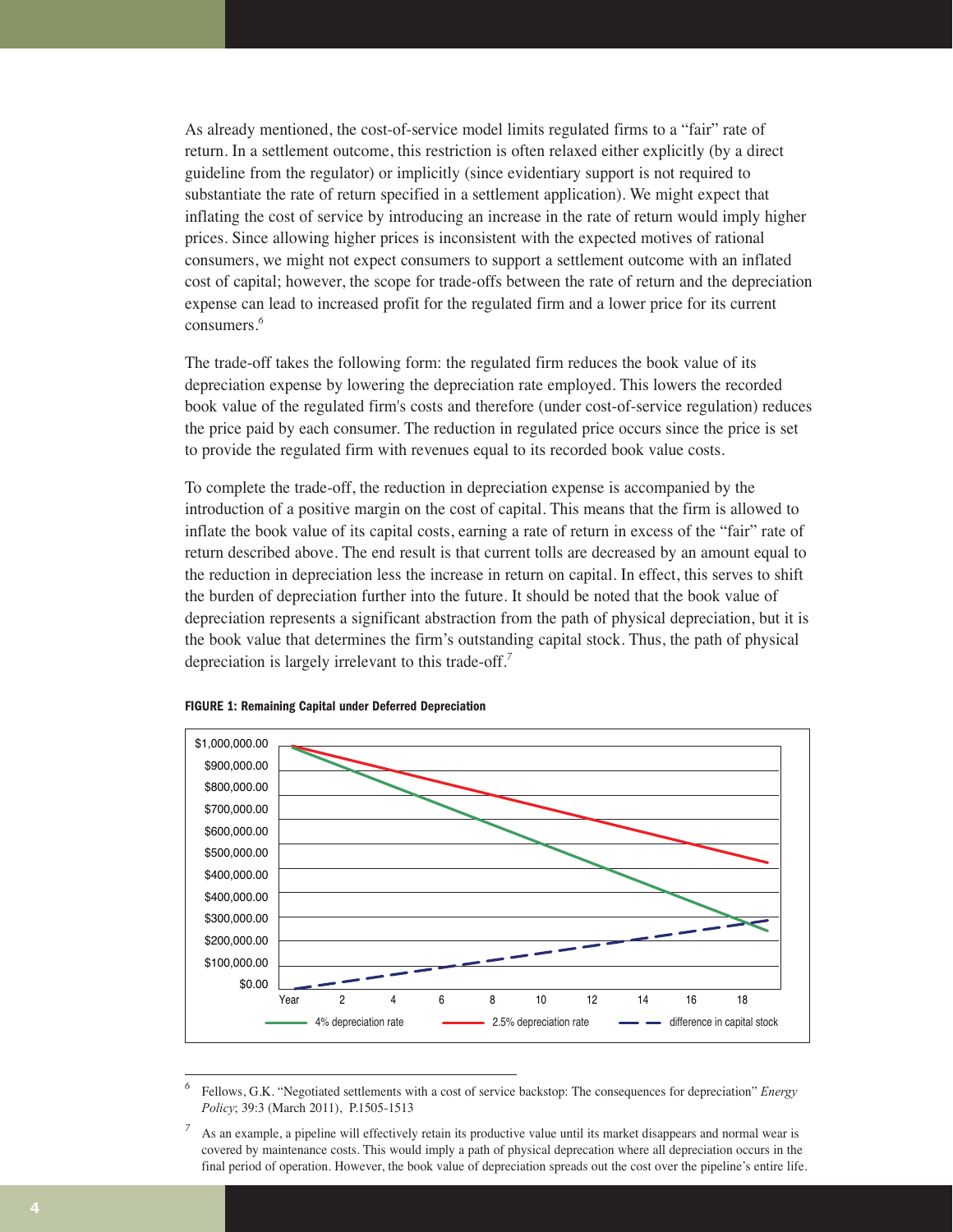As already mentioned, the cost-of-service model limits regulated firms to a "fair" rate of return. In a settlement outcome, this restriction is often relaxed either explicitly (by a direct guideline from the regulator) or implicitly (since evidentiary support is not required to substantiate the rate of return specified in a settlement application). We might expect that inflating the cost of service by introducing an increase in the rate of return would imply higher prices. Since allowing higher prices is inconsistent with the expected motives of rational consumers, we might not expect consumers to support a settlement outcome with an inflated cost of capital; however, the scope for trade-offs between the rate of return and the depreciation expense can lead to increased profit for the regulated firm and a lower price for its current consumers.*<sup>6</sup>*

The trade-off takes the following form: the regulated firm reduces the book value of its depreciation expense by lowering the depreciation rate employed. This lowers the recorded book value of the regulated firm's costs and therefore (under cost-of-service regulation) reduces the price paid by each consumer. The reduction in regulated price occurs since the price is set to provide the regulated firm with revenues equal to its recorded book value costs.

To complete the trade-off, the reduction in depreciation expense is accompanied by the introduction of a positive margin on the cost of capital. This means that the firm is allowed to inflate the book value of its capital costs, earning a rate of return in excess of the "fair" rate of return described above. The end result is that current tolls are decreased by an amount equal to the reduction in depreciation less the increase in return on capital. In effect, this serves to shift the burden of depreciation further into the future. It should be noted that the book value of depreciation represents a significant abstraction from the path of physical depreciation, but it is the book value that determines the firm's outstanding capital stock. Thus, the path of physical depreciation is largely irrelevant to this trade-off.*<sup>7</sup>*





*<sup>6</sup>* Fellows, G.K. "Negotiated settlements with a cost of service backstop: The consequences for depreciation" *Energy Policy*; 39:3 (March 2011), P.1505-1513

*<sup>7</sup>* As an example, a pipeline will effectively retain its productive value until its market disappears and normal wear is covered by maintenance costs. This would imply a path of physical deprecation where all depreciation occurs in the final period of operation. However, the book value of depreciation spreads out the cost over the pipeline's entire life.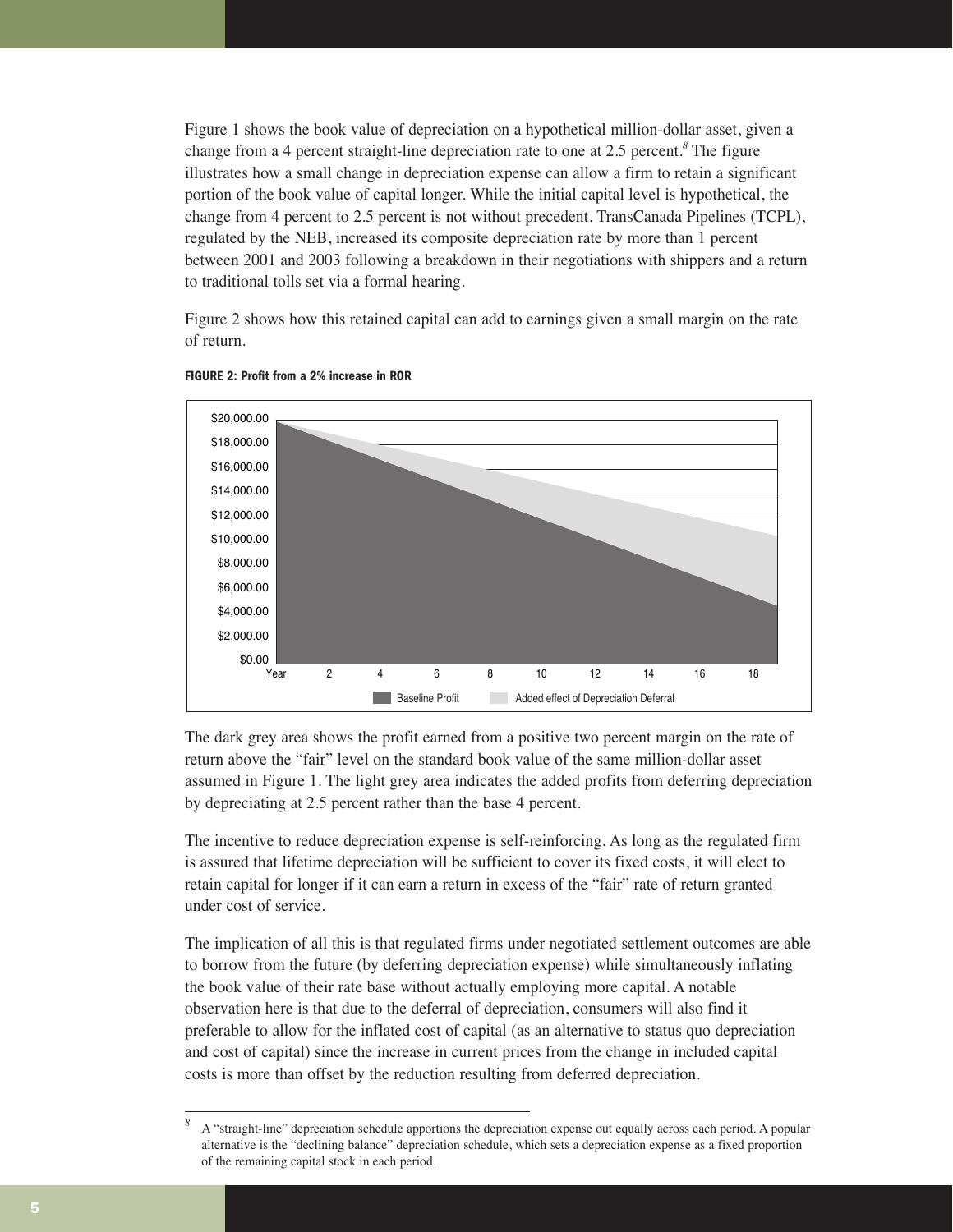Figure 1 shows the book value of depreciation on a hypothetical million-dollar asset, given a change from a 4 percent straight-line depreciation rate to one at 2.5 percent.*<sup>8</sup>* The figure illustrates how a small change in depreciation expense can allow a firm to retain a significant portion of the book value of capital longer. While the initial capital level is hypothetical, the change from 4 percent to 2.5 percent is not without precedent. TransCanada Pipelines (TCPL), regulated by the NEB, increased its composite depreciation rate by more than 1 percent between 2001 and 2003 following a breakdown in their negotiations with shippers and a return to traditional tolls set via a formal hearing.

Figure 2 shows how this retained capital can add to earnings given a small margin on the rate of return.



#### FIGURE 2: Profit from a 2% increase in ROR

The dark grey area shows the profit earned from a positive two percent margin on the rate of return above the "fair" level on the standard book value of the same million-dollar asset assumed in Figure 1. The light grey area indicates the added profits from deferring depreciation by depreciating at 2.5 percent rather than the base 4 percent.

The incentive to reduce depreciation expense is self-reinforcing. As long as the regulated firm is assured that lifetime depreciation will be sufficient to cover its fixed costs, it will elect to retain capital for longer if it can earn a return in excess of the "fair" rate of return granted under cost of service.

The implication of all this is that regulated firms under negotiated settlement outcomes are able to borrow from the future (by deferring depreciation expense) while simultaneously inflating the book value of their rate base without actually employing more capital. A notable observation here is that due to the deferral of depreciation, consumers will also find it preferable to allow for the inflated cost of capital (as an alternative to status quo depreciation and cost of capital) since the increase in current prices from the change in included capital costs is more than offset by the reduction resulting from deferred depreciation.

*<sup>8</sup>* A "straight-line" depreciation schedule apportions the depreciation expense out equally across each period. A popular alternative is the "declining balance" depreciation schedule, which sets a depreciation expense as a fixed proportion of the remaining capital stock in each period.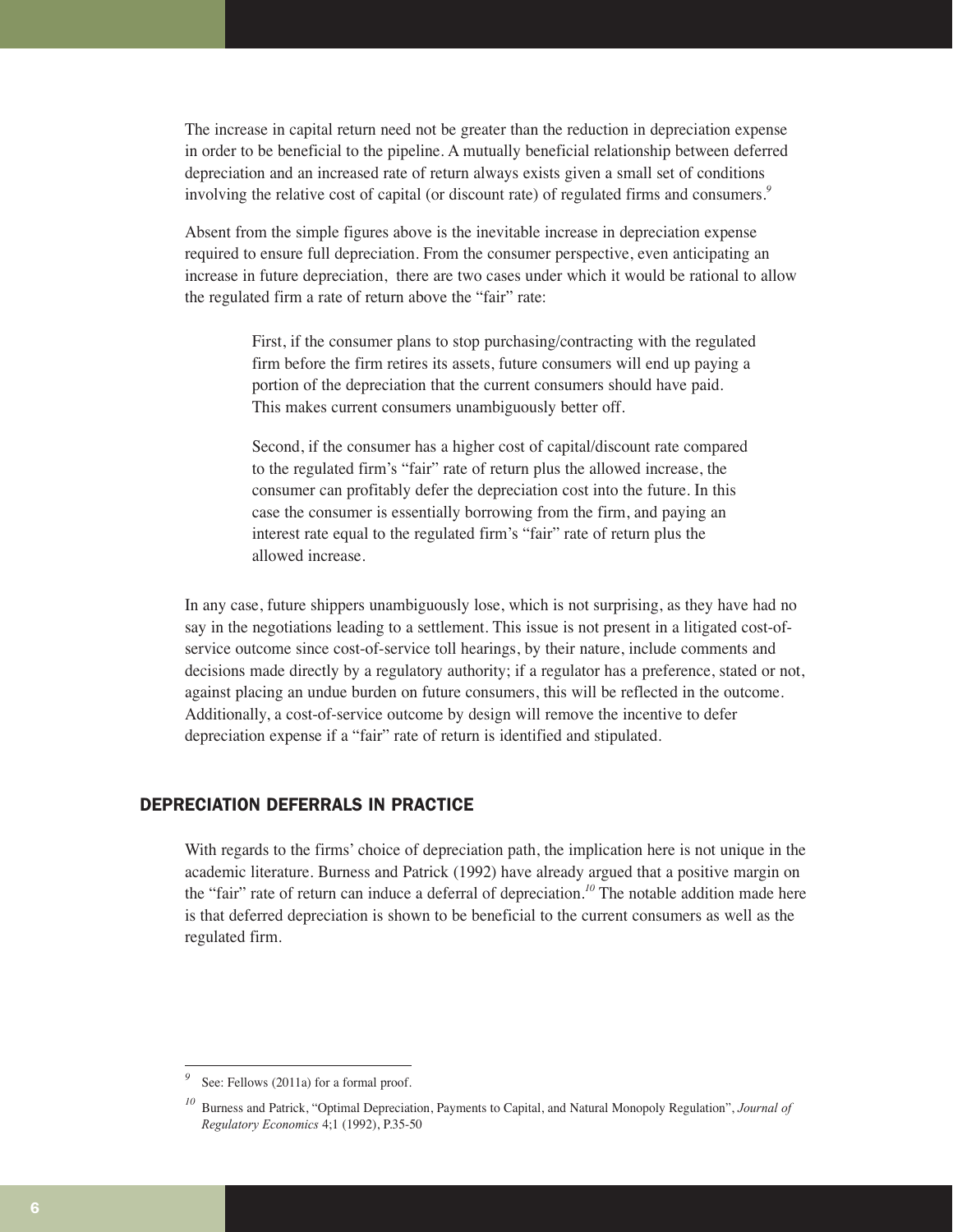The increase in capital return need not be greater than the reduction in depreciation expense in order to be beneficial to the pipeline. A mutually beneficial relationship between deferred depreciation and an increased rate of return always exists given a small set of conditions involving the relative cost of capital (or discount rate) of regulated firms and consumers.*<sup>9</sup>*

Absent from the simple figures above is the inevitable increase in depreciation expense required to ensure full depreciation. From the consumer perspective, even anticipating an increase in future depreciation, there are two cases under which it would be rational to allow the regulated firm a rate of return above the "fair" rate:

> First, if the consumer plans to stop purchasing/contracting with the regulated firm before the firm retires its assets, future consumers will end up paying a portion of the depreciation that the current consumers should have paid. This makes current consumers unambiguously better off.

Second, if the consumer has a higher cost of capital/discount rate compared to the regulated firm's "fair" rate of return plus the allowed increase, the consumer can profitably defer the depreciation cost into the future. In this case the consumer is essentially borrowing from the firm, and paying an interest rate equal to the regulated firm's "fair" rate of return plus the allowed increase.

In any case, future shippers unambiguously lose, which is not surprising, as they have had no say in the negotiations leading to a settlement. This issue is not present in a litigated cost-ofservice outcome since cost-of-service toll hearings, by their nature, include comments and decisions made directly by a regulatory authority; if a regulator has a preference, stated or not, against placing an undue burden on future consumers, this will be reflected in the outcome. Additionally, a cost-of-service outcome by design will remove the incentive to defer depreciation expense if a "fair" rate of return is identified and stipulated.

#### DEPRECIATION DEFERRALS IN PRACTICE

With regards to the firms' choice of depreciation path, the implication here is not unique in the academic literature. Burness and Patrick (1992) have already argued that a positive margin on the "fair" rate of return can induce a deferral of depreciation.*<sup>10</sup>* The notable addition made here is that deferred depreciation is shown to be beneficial to the current consumers as well as the regulated firm.

See: Fellows (2011a) for a formal proof.

*<sup>10</sup>* Burness and Patrick, "Optimal Depreciation, Payments to Capital, and Natural Monopoly Regulation", *Journal of Regulatory Economics* 4;1 (1992), P.35-50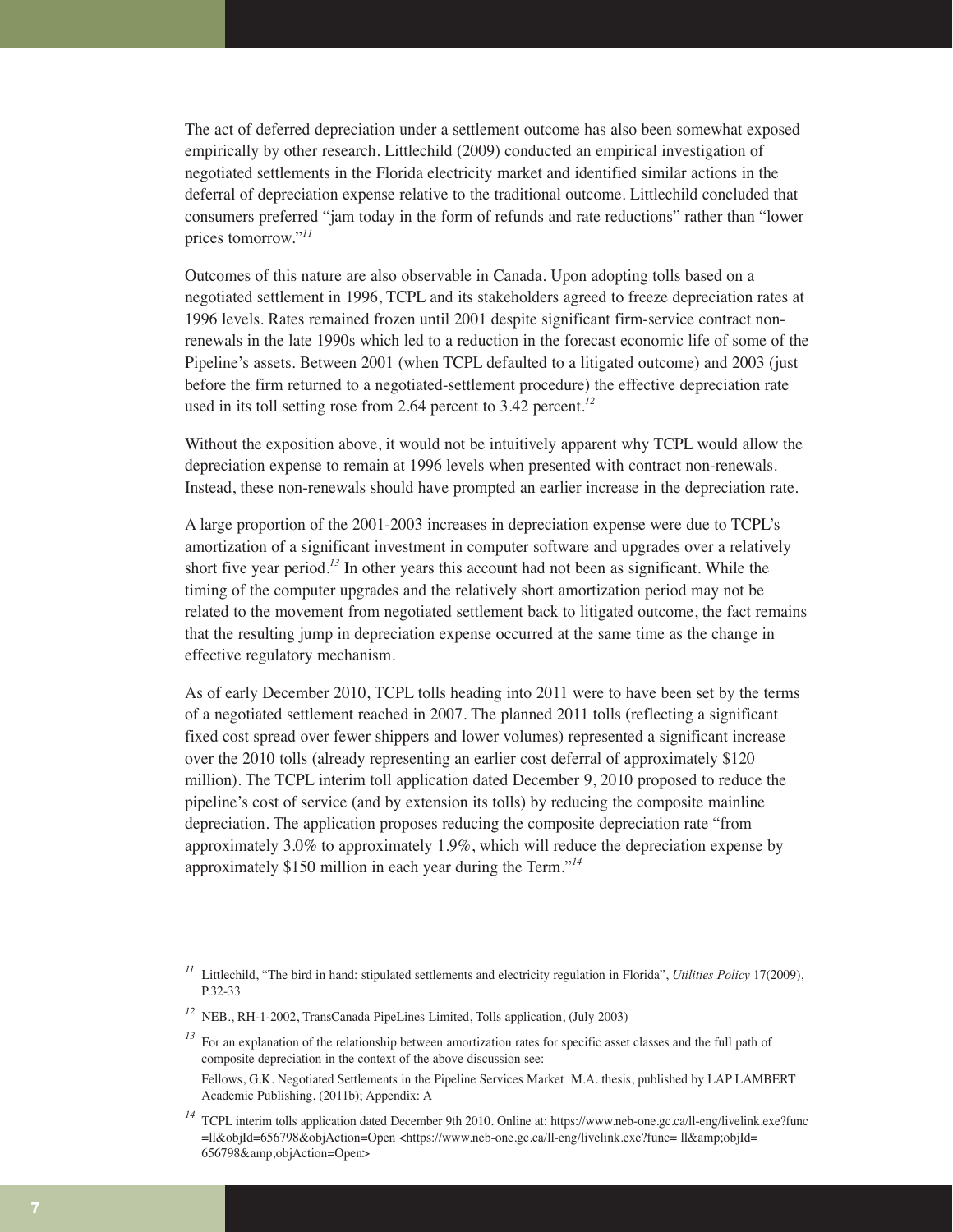The act of deferred depreciation under a settlement outcome has also been somewhat exposed empirically by other research. Littlechild (2009) conducted an empirical investigation of negotiated settlements in the Florida electricity market and identified similar actions in the deferral of depreciation expense relative to the traditional outcome. Littlechild concluded that consumers preferred "jam today in the form of refunds and rate reductions" rather than "lower prices tomorrow."*<sup>11</sup>*

Outcomes of this nature are also observable in Canada. Upon adopting tolls based on a negotiated settlement in 1996, TCPL and its stakeholders agreed to freeze depreciation rates at 1996 levels. Rates remained frozen until 2001 despite significant firm-service contract nonrenewals in the late 1990s which led to a reduction in the forecast economic life of some of the Pipeline's assets. Between 2001 (when TCPL defaulted to a litigated outcome) and 2003 (just before the firm returned to a negotiated-settlement procedure) the effective depreciation rate used in its toll setting rose from 2.64 percent to 3.42 percent.*<sup>12</sup>*

Without the exposition above, it would not be intuitively apparent why TCPL would allow the depreciation expense to remain at 1996 levels when presented with contract non-renewals. Instead, these non-renewals should have prompted an earlier increase in the depreciation rate.

A large proportion of the 2001-2003 increases in depreciation expense were due to TCPL's amortization of a significant investment in computer software and upgrades over a relatively short five year period.*<sup>13</sup>* In other years this account had not been as significant. While the timing of the computer upgrades and the relatively short amortization period may not be related to the movement from negotiated settlement back to litigated outcome, the fact remains that the resulting jump in depreciation expense occurred at the same time as the change in effective regulatory mechanism.

As of early December 2010, TCPL tolls heading into 2011 were to have been set by the terms of a negotiated settlement reached in 2007. The planned 2011 tolls (reflecting a significant fixed cost spread over fewer shippers and lower volumes) represented a significant increase over the 2010 tolls (already representing an earlier cost deferral of approximately \$120 million). The TCPL interim toll application dated December 9, 2010 proposed to reduce the pipeline's cost of service (and by extension its tolls) by reducing the composite mainline depreciation. The application proposes reducing the composite depreciation rate "from approximately 3.0% to approximately 1.9%, which will reduce the depreciation expense by approximately \$150 million in each year during the Term."*<sup>14</sup>*

*<sup>11</sup>* Littlechild, "The bird in hand: stipulated settlements and electricity regulation in Florida", *Utilities Policy* 17(2009), P.32-33

*<sup>12</sup>* NEB., RH-1-2002, TransCanada PipeLines Limited, Tolls application, (July 2003)

For an explanation of the relationship between amortization rates for specific asset classes and the full path of composite depreciation in the context of the above discussion see:

Fellows, G.K. Negotiated Settlements in the Pipeline Services Market M.A. thesis, published by LAP LAMBERT Academic Publishing, (2011b); Appendix: A

<sup>&</sup>lt;sup>14</sup> TCPL interim tolls application dated December 9th 2010. Online at: https://www.neb-one.gc.ca/ll-eng/livelink.exe?func =ll&objId=656798&objAction=Open <https://www.neb-one.gc.ca/ll-eng/livelink.exe?func= ll&amp;objId= 656798&objAction=Open>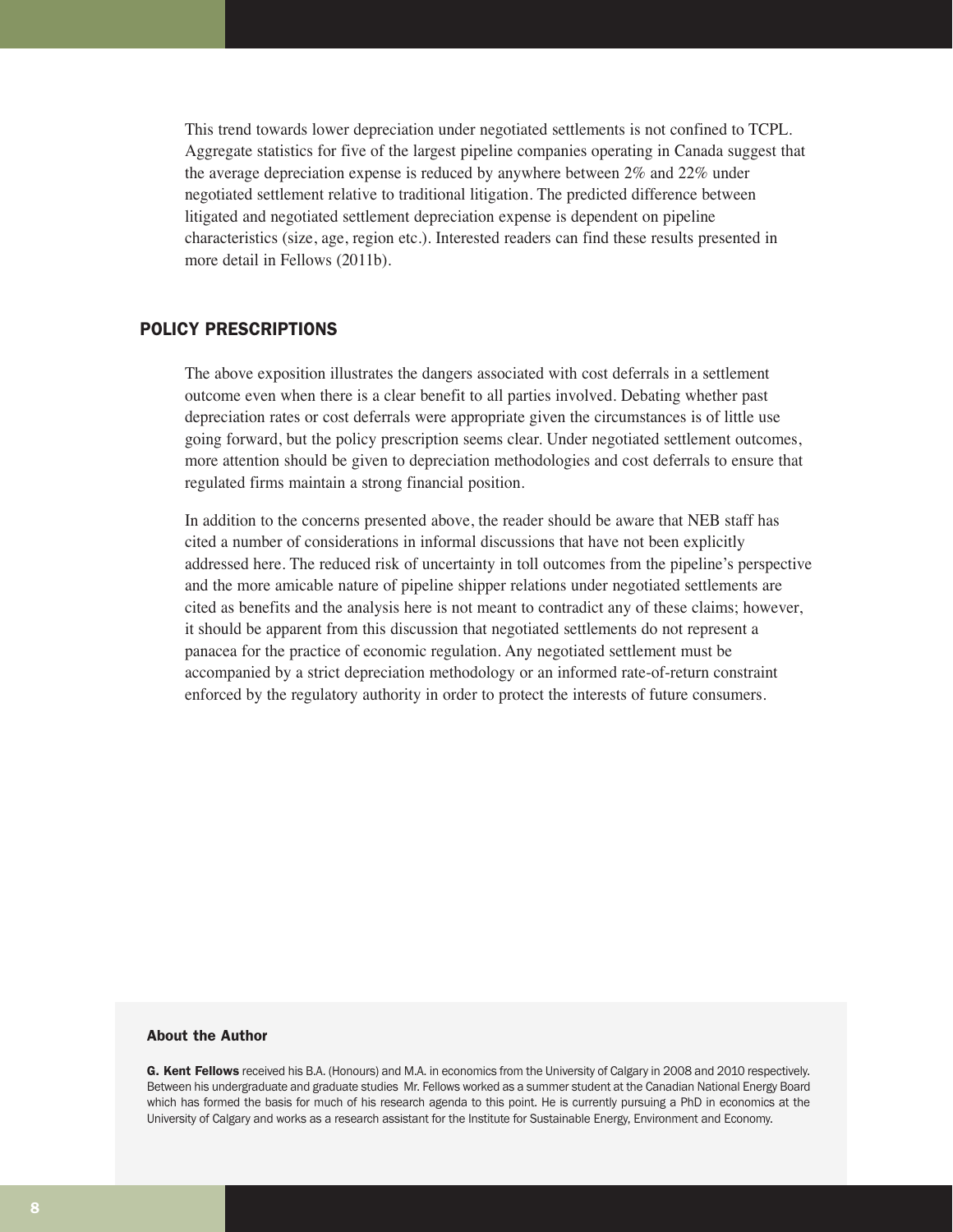This trend towards lower depreciation under negotiated settlements is not confined to TCPL. Aggregate statistics for five of the largest pipeline companies operating in Canada suggest that the average depreciation expense is reduced by anywhere between 2% and 22% under negotiated settlement relative to traditional litigation. The predicted difference between litigated and negotiated settlement depreciation expense is dependent on pipeline characteristics (size, age, region etc.). Interested readers can find these results presented in more detail in Fellows (2011b).

#### POLICY PRESCRIPTIONS

The above exposition illustrates the dangers associated with cost deferrals in a settlement outcome even when there is a clear benefit to all parties involved. Debating whether past depreciation rates or cost deferrals were appropriate given the circumstances is of little use going forward, but the policy prescription seems clear. Under negotiated settlement outcomes, more attention should be given to depreciation methodologies and cost deferrals to ensure that regulated firms maintain a strong financial position.

In addition to the concerns presented above, the reader should be aware that NEB staff has cited a number of considerations in informal discussions that have not been explicitly addressed here. The reduced risk of uncertainty in toll outcomes from the pipeline's perspective and the more amicable nature of pipeline shipper relations under negotiated settlements are cited as benefits and the analysis here is not meant to contradict any of these claims; however, it should be apparent from this discussion that negotiated settlements do not represent a panacea for the practice of economic regulation. Any negotiated settlement must be accompanied by a strict depreciation methodology or an informed rate-of-return constraint enforced by the regulatory authority in order to protect the interests of future consumers.

#### About the Author

G. Kent Fellows received his B.A. (Honours) and M.A. in economics from the University of Calgary in 2008 and 2010 respectively. Between his undergraduate and graduate studies Mr. Fellows worked as a summer student at the Canadian National Energy Board which has formed the basis for much of his research agenda to this point. He is currently pursuing a PhD in economics at the University of Calgary and works as a research assistant for the Institute for Sustainable Energy, Environment and Economy.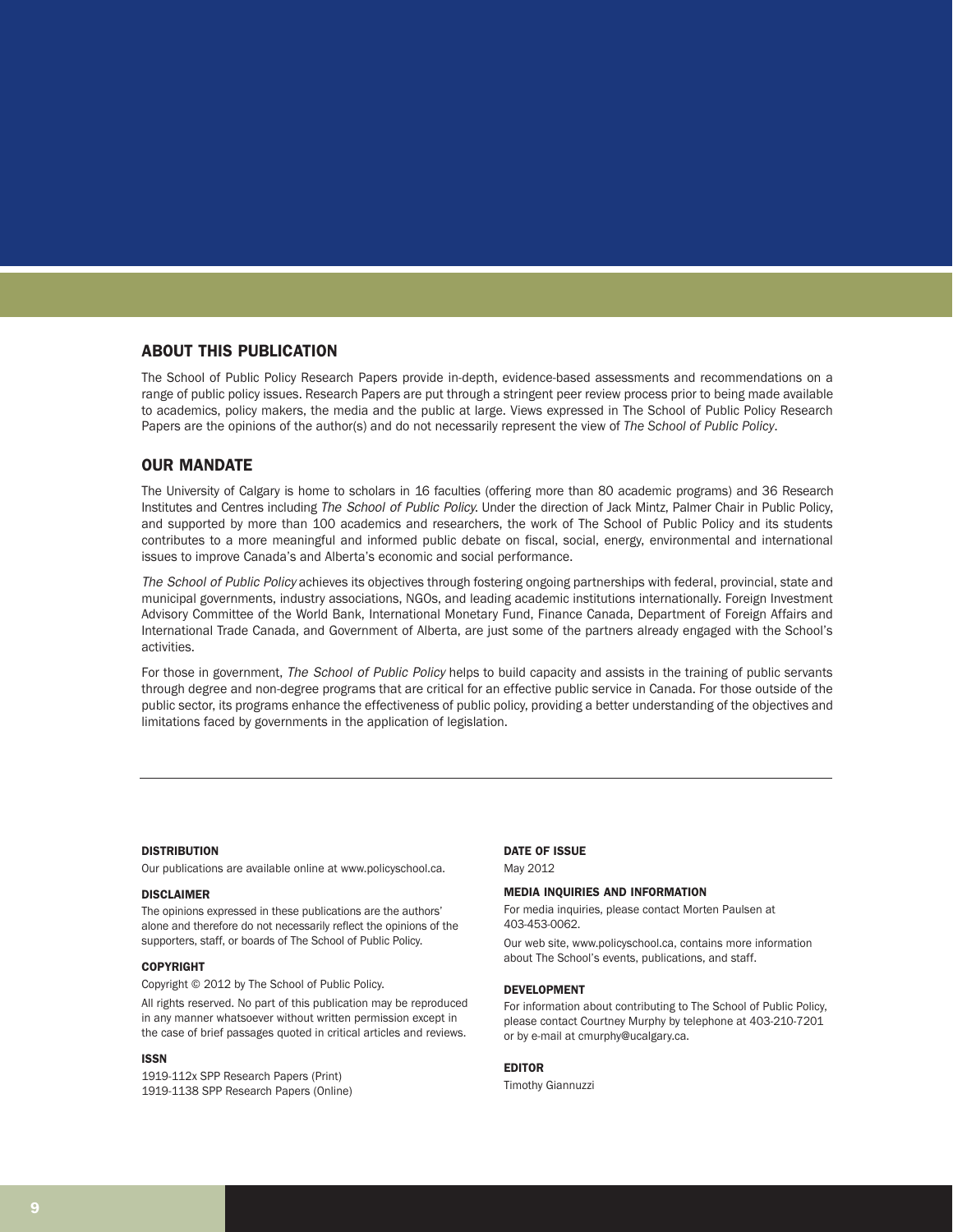#### ABOUT THIS PUBLICATION

The School of Public Policy Research Papers provide in-depth, evidence-based assessments and recommendations on a range of public policy issues. Research Papers are put through a stringent peer review process prior to being made available to academics, policy makers, the media and the public at large. Views expressed in The School of Public Policy Research Papers are the opinions of the author(s) and do not necessarily represent the view of *The School of Public Policy*.

#### OUR MANDATE

The University of Calgary is home to scholars in 16 faculties (offering more than 80 academic programs) and 36 Research Institutes and Centres including The School of Public Policy. Under the direction of Jack Mintz, Palmer Chair in Public Policy, and supported by more than 100 academics and researchers, the work of The School of Public Policy and its students contributes to a more meaningful and informed public debate on fiscal, social, energy, environmental and international issues to improve Canada's and Alberta's economic and social performance.

The School of Public Policy achieves its objectives through fostering ongoing partnerships with federal, provincial, state and municipal governments, industry associations, NGOs, and leading academic institutions internationally. Foreign Investment Advisory Committee of the World Bank, International Monetary Fund, Finance Canada, Department of Foreign Affairs and International Trade Canada, and Government of Alberta, are just some of the partners already engaged with the School's activities.

For those in government, The School of Public Policy helps to build capacity and assists in the training of public servants through degree and non-degree programs that are critical for an effective public service in Canada. For those outside of the public sector, its programs enhance the effectiveness of public policy, providing a better understanding of the objectives and limitations faced by governments in the application of legislation.

#### **DISTRIBUTION**

Our publications are available online at www.policyschool.ca.

#### DISCLAIMER

The opinions expressed in these publications are the authors' alone and therefore do not necessarily reflect the opinions of the supporters, staff, or boards of The School of Public Policy.

#### COPYRIGHT

Copyright © 2012 by The School of Public Policy.

All rights reserved. No part of this publication may be reproduced in any manner whatsoever without written permission except in the case of brief passages quoted in critical articles and reviews.

#### ISSN

1919-112x SPP Research Papers (Print) 1919-1138 SPP Research Papers (Online)

#### DATE OF ISSUE May 2012

#### MEDIA INQUIRIES AND INFORMATION

For media inquiries, please contact Morten Paulsen at 403-453-0062.

Our web site, www.policyschool.ca, contains more information about The School's events, publications, and staff.

#### DEVELOPMENT

For information about contributing to The School of Public Policy, please contact Courtney Murphy by telephone at 403-210-7201 or by e-mail at cmurphy@ucalgary.ca.

#### EDITOR

Timothy Giannuzzi